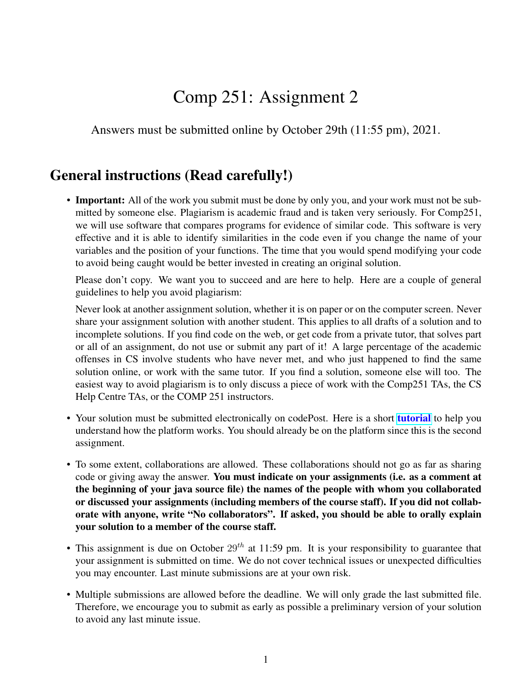## Comp 251: Assignment 2

Answers must be submitted online by October 29th (11:55 pm), 2021.

## General instructions (Read carefully!)

• Important: All of the work you submit must be done by only you, and your work must not be submitted by someone else. Plagiarism is academic fraud and is taken very seriously. For Comp251, we will use software that compares programs for evidence of similar code. This software is very effective and it is able to identify similarities in the code even if you change the name of your variables and the position of your functions. The time that you would spend modifying your code to avoid being caught would be better invested in creating an original solution.

Please don't copy. We want you to succeed and are here to help. Here are a couple of general guidelines to help you avoid plagiarism:

Never look at another assignment solution, whether it is on paper or on the computer screen. Never share your assignment solution with another student. This applies to all drafts of a solution and to incomplete solutions. If you find code on the web, or get code from a private tutor, that solves part or all of an assignment, do not use or submit any part of it! A large percentage of the academic offenses in CS involve students who have never met, and who just happened to find the same solution online, or work with the same tutor. If you find a solution, someone else will too. The easiest way to avoid plagiarism is to only discuss a piece of work with the Comp251 TAs, the CS Help Centre TAs, or the COMP 251 instructors.

- Your solution must be submitted electronically on codePost. Here is a short **[tutorial](https://youtu.be/Sn-6PopS70k)** to help you understand how the platform works. You should already be on the platform since this is the second assignment.
- To some extent, collaborations are allowed. These collaborations should not go as far as sharing code or giving away the answer. You must indicate on your assignments (i.e. as a comment at the beginning of your java source file) the names of the people with whom you collaborated or discussed your assignments (including members of the course staff). If you did not collaborate with anyone, write "No collaborators". If asked, you should be able to orally explain your solution to a member of the course staff.
- This assignment is due on October  $29<sup>th</sup>$  at 11:59 pm. It is your responsibility to guarantee that your assignment is submitted on time. We do not cover technical issues or unexpected difficulties you may encounter. Last minute submissions are at your own risk.
- Multiple submissions are allowed before the deadline. We will only grade the last submitted file. Therefore, we encourage you to submit as early as possible a preliminary version of your solution to avoid any last minute issue.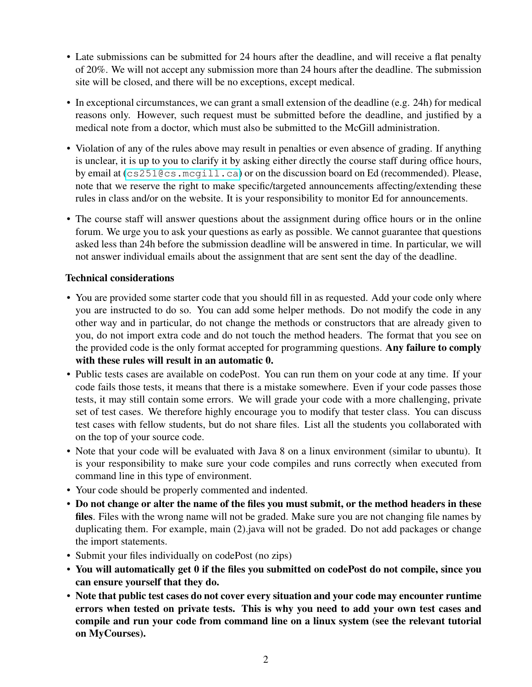- Late submissions can be submitted for 24 hours after the deadline, and will receive a flat penalty of 20%. We will not accept any submission more than 24 hours after the deadline. The submission site will be closed, and there will be no exceptions, except medical.
- In exceptional circumstances, we can grant a small extension of the deadline (e.g. 24h) for medical reasons only. However, such request must be submitted before the deadline, and justified by a medical note from a doctor, which must also be submitted to the McGill administration.
- Violation of any of the rules above may result in penalties or even absence of grading. If anything is unclear, it is up to you to clarify it by asking either directly the course staff during office hours, by email at (<cs251@cs.mcgill.ca>) or on the discussion board on Ed (recommended). Please, note that we reserve the right to make specific/targeted announcements affecting/extending these rules in class and/or on the website. It is your responsibility to monitor Ed for announcements.
- The course staff will answer questions about the assignment during office hours or in the online forum. We urge you to ask your questions as early as possible. We cannot guarantee that questions asked less than 24h before the submission deadline will be answered in time. In particular, we will not answer individual emails about the assignment that are sent sent the day of the deadline.

## Technical considerations

- You are provided some starter code that you should fill in as requested. Add your code only where you are instructed to do so. You can add some helper methods. Do not modify the code in any other way and in particular, do not change the methods or constructors that are already given to you, do not import extra code and do not touch the method headers. The format that you see on the provided code is the only format accepted for programming questions. Any failure to comply with these rules will result in an automatic 0.
- Public tests cases are available on codePost. You can run them on your code at any time. If your code fails those tests, it means that there is a mistake somewhere. Even if your code passes those tests, it may still contain some errors. We will grade your code with a more challenging, private set of test cases. We therefore highly encourage you to modify that tester class. You can discuss test cases with fellow students, but do not share files. List all the students you collaborated with on the top of your source code.
- Note that your code will be evaluated with Java 8 on a linux environment (similar to ubuntu). It is your responsibility to make sure your code compiles and runs correctly when executed from command line in this type of environment.
- Your code should be properly commented and indented.
- Do not change or alter the name of the files you must submit, or the method headers in these files. Files with the wrong name will not be graded. Make sure you are not changing file names by duplicating them. For example, main (2) java will not be graded. Do not add packages or change the import statements.
- Submit your files individually on codePost (no zips)
- You will automatically get 0 if the files you submitted on codePost do not compile, since you can ensure yourself that they do.
- Note that public test cases do not cover every situation and your code may encounter runtime errors when tested on private tests. This is why you need to add your own test cases and compile and run your code from command line on a linux system (see the relevant tutorial on MyCourses).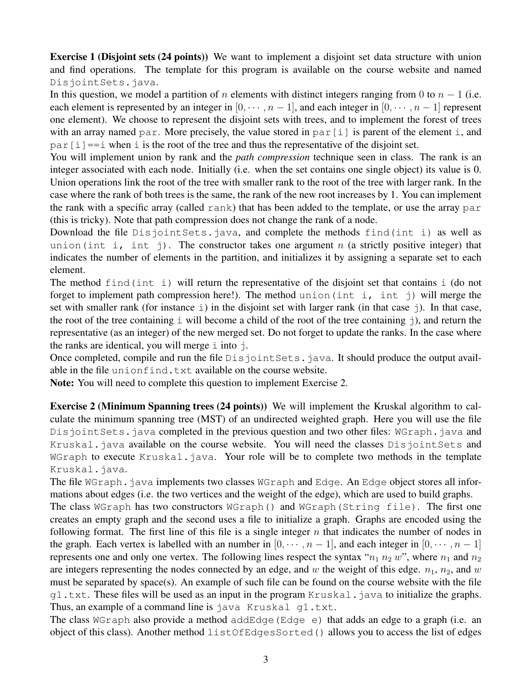Exercise 1 (Disjoint sets (24 points)) We want to implement a disjoint set data structure with union and find operations. The template for this program is available on the course website and named DisjointSets.java.

In this question, we model a partition of n elements with distinct integers ranging from 0 to  $n - 1$  (i.e. each element is represented by an integer in  $[0, \dots, n-1]$ , and each integer in  $[0, \dots, n-1]$  represent one element). We choose to represent the disjoint sets with trees, and to implement the forest of trees with an array named par. More precisely, the value stored in par $[i]$  is parent of the element i, and  $par[i] == i$  when i is the root of the tree and thus the representative of the disjoint set.

You will implement union by rank and the *path compression* technique seen in class. The rank is an integer associated with each node. Initially (i.e. when the set contains one single object) its value is 0. Union operations link the root of the tree with smaller rank to the root of the tree with larger rank. In the case where the rank of both trees is the same, the rank of the new root increases by 1. You can implement the rank with a specific array (called  $rank$ ) that has been added to the template, or use the array par (this is tricky). Note that path compression does not change the rank of a node.

Download the file DisjointSets.java, and complete the methods find(int i) as well as union(int i, int j). The constructor takes one argument n (a strictly positive integer) that indicates the number of elements in the partition, and initializes it by assigning a separate set to each element.

The method find(int i) will return the representative of the disjoint set that contains i (do not forget to implement path compression here!). The method union (int i, int j) will merge the set with smaller rank (for instance  $\pm$ ) in the disjoint set with larger rank (in that case  $\pm$ ). In that case, the root of the tree containing  $\pm$  will become a child of the root of the tree containing  $\pm$ ), and return the representative (as an integer) of the new merged set. Do not forget to update the ranks. In the case where the ranks are identical, you will merge  $\pm$  into  $\pm$ .

Once completed, compile and run the file DisjointSets.java. It should produce the output available in the file unionfind.txt available on the course website.

Note: You will need to complete this question to implement Exercise 2.

Exercise 2 (Minimum Spanning trees (24 points)) We will implement the Kruskal algorithm to calculate the minimum spanning tree (MST) of an undirected weighted graph. Here you will use the file DisjointSets.java completed in the previous question and two other files: WGraph.java and Kruskal.java available on the course website. You will need the classes DisjointSets and WGraph to execute Kruskal. java. Your role will be to complete two methods in the template Kruskal.java.

The file WGraph. java implements two classes WGraph and Edge. An Edge object stores all informations about edges (i.e. the two vertices and the weight of the edge), which are used to build graphs.

The class WGraph has two constructors WGraph() and WGraph(String file). The first one creates an empty graph and the second uses a file to initialize a graph. Graphs are encoded using the following format. The first line of this file is a single integer  $n$  that indicates the number of nodes in the graph. Each vertex is labelled with an number in  $[0, \dots, n-1]$ , and each integer in  $[0, \dots, n-1]$ represents one and only one vertex. The following lines respect the syntax " $n_1$   $n_2$  w", where  $n_1$  and  $n_2$ are integers representing the nodes connected by an edge, and w the weight of this edge.  $n_1$ ,  $n_2$ , and w must be separated by space(s). An example of such file can be found on the course website with the file g1.txt. These files will be used as an input in the program Kruskal.java to initialize the graphs. Thus, an example of a command line is java Kruskal q1.txt.

The class WGraph also provide a method addEdge (Edge  $e$ ) that adds an edge to a graph (i.e. an object of this class). Another method listOfEdgesSorted() allows you to access the list of edges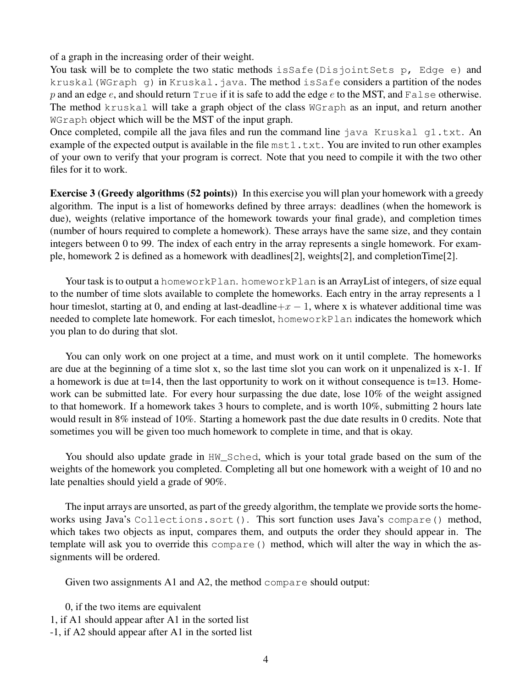of a graph in the increasing order of their weight.

You task will be to complete the two static methods is Safe (Disjoint Sets p, Edge e) and kruskal (WGraph q) in Kruskal.java. The method isSafe considers a partition of the nodes p and an edge e, and should return  $True$  if it is safe to add the edge e to the MST, and False otherwise. The method kruskal will take a graph object of the class WGraph as an input, and return another WGraph object which will be the MST of the input graph.

Once completed, compile all the java files and run the command line java Kruskal g1.txt. An example of the expected output is available in the file  $mst1.txt$ . You are invited to run other examples of your own to verify that your program is correct. Note that you need to compile it with the two other files for it to work.

Exercise 3 (Greedy algorithms (52 points)) In this exercise you will plan your homework with a greedy algorithm. The input is a list of homeworks defined by three arrays: deadlines (when the homework is due), weights (relative importance of the homework towards your final grade), and completion times (number of hours required to complete a homework). These arrays have the same size, and they contain integers between 0 to 99. The index of each entry in the array represents a single homework. For example, homework 2 is defined as a homework with deadlines[2], weights[2], and completionTime[2].

Your task is to output a homeworkPlan. homeworkPlan is an ArrayList of integers, of size equal to the number of time slots available to complete the homeworks. Each entry in the array represents a 1 hour timeslot, starting at 0, and ending at last-deadline+ $x - 1$ , where x is whatever additional time was needed to complete late homework. For each timeslot, homeworkPlan indicates the homework which you plan to do during that slot.

You can only work on one project at a time, and must work on it until complete. The homeworks are due at the beginning of a time slot x, so the last time slot you can work on it unpenalized is x-1. If a homework is due at  $t=14$ , then the last opportunity to work on it without consequence is  $t=13$ . Homework can be submitted late. For every hour surpassing the due date, lose 10% of the weight assigned to that homework. If a homework takes 3 hours to complete, and is worth 10%, submitting 2 hours late would result in 8% instead of 10%. Starting a homework past the due date results in 0 credits. Note that sometimes you will be given too much homework to complete in time, and that is okay.

You should also update grade in HW\_Sched, which is your total grade based on the sum of the weights of the homework you completed. Completing all but one homework with a weight of 10 and no late penalties should yield a grade of 90%.

The input arrays are unsorted, as part of the greedy algorithm, the template we provide sorts the homeworks using Java's Collections.sort(). This sort function uses Java's compare() method, which takes two objects as input, compares them, and outputs the order they should appear in. The template will ask you to override this compare() method, which will alter the way in which the assignments will be ordered.

Given two assignments A1 and A2, the method compare should output:

- 0, if the two items are equivalent
- 1, if A1 should appear after A1 in the sorted list
- -1, if A2 should appear after A1 in the sorted list